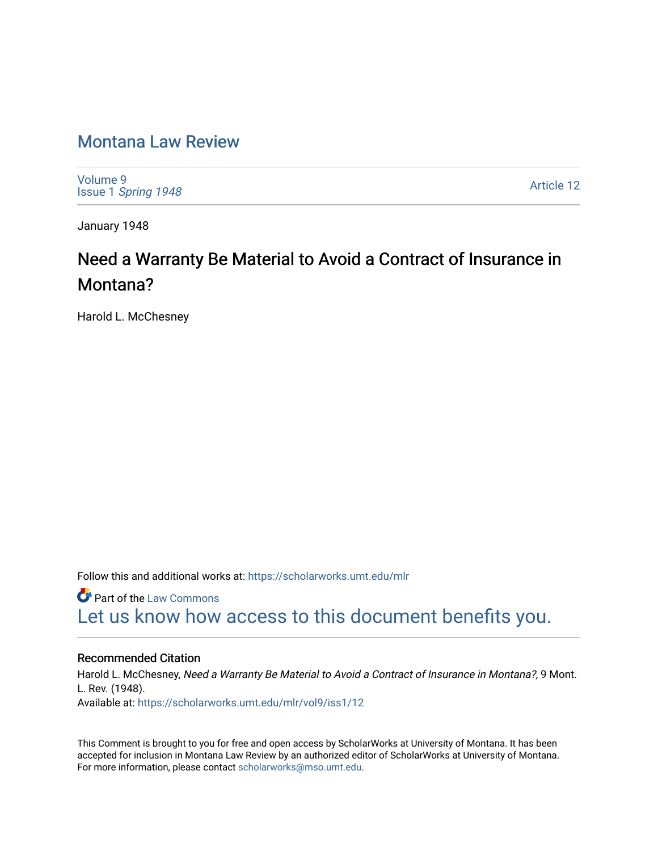### [Montana Law Review](https://scholarworks.umt.edu/mlr)

[Volume 9](https://scholarworks.umt.edu/mlr/vol9) Issue 1 [Spring 1948](https://scholarworks.umt.edu/mlr/vol9/iss1) 

[Article 12](https://scholarworks.umt.edu/mlr/vol9/iss1/12) 

January 1948

## Need a Warranty Be Material to Avoid a Contract of Insurance in Montana?

Harold L. McChesney

Follow this and additional works at: [https://scholarworks.umt.edu/mlr](https://scholarworks.umt.edu/mlr?utm_source=scholarworks.umt.edu%2Fmlr%2Fvol9%2Fiss1%2F12&utm_medium=PDF&utm_campaign=PDFCoverPages) 

**C** Part of the [Law Commons](http://network.bepress.com/hgg/discipline/578?utm_source=scholarworks.umt.edu%2Fmlr%2Fvol9%2Fiss1%2F12&utm_medium=PDF&utm_campaign=PDFCoverPages) [Let us know how access to this document benefits you.](https://goo.gl/forms/s2rGfXOLzz71qgsB2) 

#### Recommended Citation

Harold L. McChesney, Need a Warranty Be Material to Avoid a Contract of Insurance in Montana?, 9 Mont. L. Rev. (1948). Available at: [https://scholarworks.umt.edu/mlr/vol9/iss1/12](https://scholarworks.umt.edu/mlr/vol9/iss1/12?utm_source=scholarworks.umt.edu%2Fmlr%2Fvol9%2Fiss1%2F12&utm_medium=PDF&utm_campaign=PDFCoverPages) 

This Comment is brought to you for free and open access by ScholarWorks at University of Montana. It has been accepted for inclusion in Montana Law Review by an authorized editor of ScholarWorks at University of Montana. For more information, please contact [scholarworks@mso.umt.edu.](mailto:scholarworks@mso.umt.edu)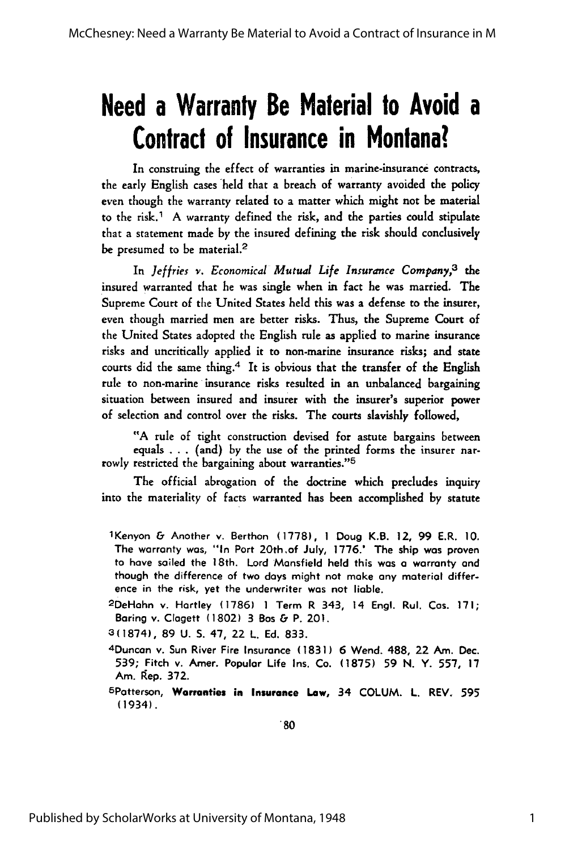# **Need a Warranty Be Material to Avoid a Contract of Insurance in Montana?**

In construing the effect of warranties in marine-insurance contracts, the early English cases held that a breach of warranty avoided the policy even though the warranty related to a matter which might not be material to the risk.<sup>1</sup> A warranty defined the risk, and the parties could stipulate that a statement made by the insured defining the risk should conclusively be presumed to be material.<sup>2</sup>

In *Jeffries v. Economical Mutual Life Insurance Company,3* the insured warranted that he was single when in fact he was married. The Supreme Court of the United States held this was a defense to the insurer, even though married men are better risks. Thus, the Supreme Court of the United States adopted the English rule as applied to marine insurance risks and uncritically applied it to non-marine insurance risks; and state courts did the same thing.<sup>4</sup> It is obvious that the transfer of the English rule to non-marine insurance risks resulted in an unbalanced bargaining situation between insured and insurer with the insurer's superior power of selection and control over the risks. The courts slavishly followed,

"A rule of tight construction devised for astute bargains between equals . . . (and) by the use of the printed forms the insurer narrowly restricted the bargaining about warranties."<sup>5</sup>

The official abrogation of the doctrine which precludes inquiry into the materiality of facts warranted has been accomplished by statute

- <sup>1</sup>Kenyon & Another v. Berthon (1778), **I** Doug K.B. 12, 99 E.R. **10.** The warranty was, "In Port 20th.of July, 1776.' The ship was proven to have sailed the 18th. Lord Mansfield held this was a warranty and though the difference of two days might not make any material difference in the risk, yet the underwriter was not liable.
- <sup>2</sup> DeHahn v. Hartley **(1786) 1** Term R 343, 14 Engl. Rul. Cos. **171;** Baring v. Clagett **(1802) 3** Bos & P. 201.
- **3(1874), 89 U. S. 47,** 22 L. **Ed. 833.**
- <sup>4</sup> Duncan v. Sun River Fire Insurance **(1831) 6** Wend. 488, 22 Am. Dec. **539;** Fitch v. Amer. Popular Life Ins. Co. **(1875) 59 N.** Y. **557, 17** Am. Rep. **372.**
- 6Patterson, **Warranties in Insurance Law,** 34 **COLUM.** L. REV. **595** (1934).

 $^{\circ}80$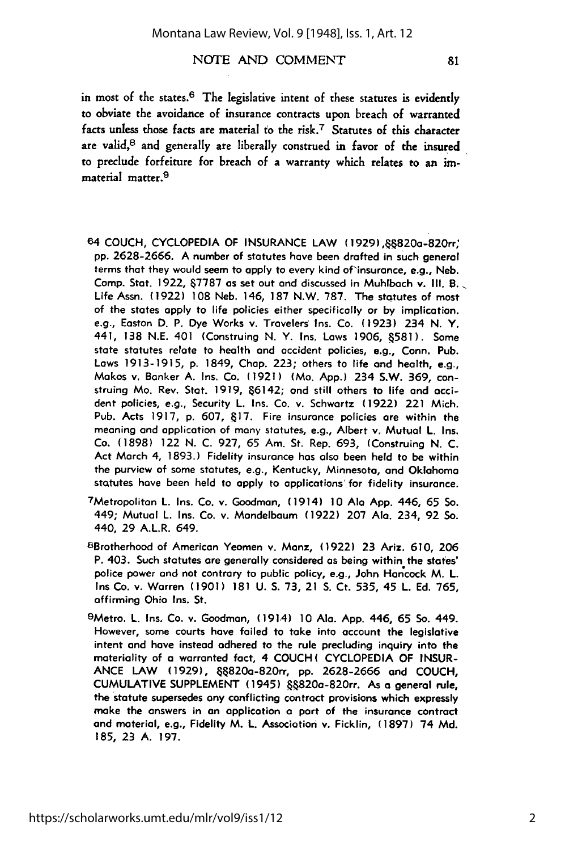facts unless those facts are material to the risk.7 Statutes of this character are valid,<sup>8</sup> and generally are liberally construed in favor of the insured to preclude forfeiture for breach of a warranty which relates to an **im**material matter.9

- **64** COUCH, CYCLOPEDIA OF INSURANCE LAW (1929), 6820a-820rr" **pp. 2628-2666. A** number of statutes hove been drafted in such general terms that they would seem to **apply** to every kind of insurance, e.g., Neb. **Camp.** Stat. **1922, &7787** as set out and discussed in Muhlbach v. **Ill.** B. Life Assn. **(1922) 108** Neb. 146, **187** N.W. **787.** The statutes of most of the states **apply** to life policies either specifically or **by** implication. e.g., Easton **D.** P. Dye Works v. Travelers Ins. Co. **(1923)** 234 **N.** Y. 441, **138 N.E.** 401 (Construing **N.** Y. Ins. Laws **1906, 581).** Some state statutes relate to health and occident policies, e.g., Conn. Pub. Laws **1913-1915, p.** 1849, **Chap. 223;** others to life and health, e.g., Makos v. Banker **A.** Ins. Co. **(1921)** (Mo. **App.)** 234 S.W. **369,** construing Mo. Rev. Stat. **1919,** 66142; and still others to life and accident policies, e.g., Security L. Ins. Co. v. Schwartz **(1922)** 221 Mich. Pub. Acts **1917, p. 607, &17.** Fire insurance policies are within the meaning and application of many statutes, e.g., Albert v. Mutual L. Ins. Co. **(1898)** 122 **N. C. 927,** 65 Am. St. Rep. **693,** (Construing **N. C.** Act March 4, **1893.)** Fidelity insurance has also been held to be within the purview of some statutes, e.g., Kentucky, Minnesota, and Oklahoma statutes have been held to **apply** to applications' for fidelity insurance.
- <sup>7</sup> Metropolitan L. Ins. Co. v. Goodman, (1914) **10** Ala **App.** 446, 65 So. 449; Mutual L. Ins. Co. v. Mandelbaum **(1922) 207 Ala.** 234, **92** So. 440, **29** A.L.R. 649.
- 8 Brotherhood of American Yeomen v. Manz, **(1922) 23** Ariz. **610, 206** P. 403. Such statutes **are** generally considered as being within the states' police power and not contrary to public policy, e.g., John Harcock M. L. Ins Co. v. Warren **(1901) 181 U. S. 73,** 21 **S.** Ct. 535, 45 L. **Ed. 765,** affirming Ohio Ins. St.
- <sup>9</sup> Metro. L. Ins. Co. v. Goodman, (1914) **10 Ala. App.** 446, 65 **So.** 449. However, some courts have failed to take into account the legislative intent and have instead adhered to the rule precluding inquiry into the materiality of **a** warranted fact, 4 **COUCH( CYCLOPEDIA** OF **INSUR-ANCE** LAW **(1929),** &820a-820rr, **pp. 2628-2666 and COUCH, CUMULATIVE SUPPLEMENT** (1945) &820a-820rr. As **a** general rule, the statute supersedes any conflicting contract provisions which expressly make the answers in an application **a** part of the insurance contract and material, e.g., Fidelity M. L. Association v. Ficklin, **(1897)** 74 **Md. 185, 23 A. 197.**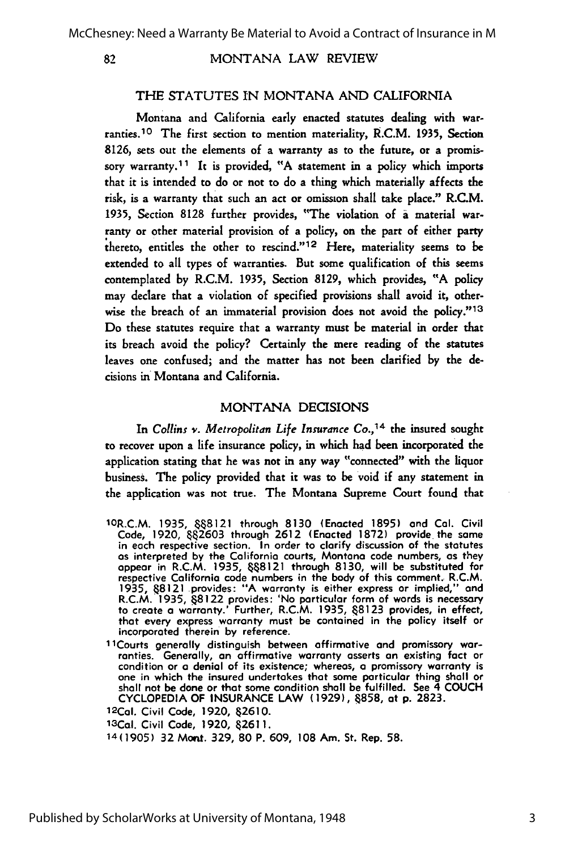82

MONTANA LAW REVIEW

#### THE STATUTES IN MONTANA AND CALIFORNIA

Montana and California early enacted statutes dealing with warranties. 10 The first section to mention materiality, R.C.M. 1935, Section 8126, sets out the elements of a warranty as to the future, or a promissory warranty. <sup>1</sup>**1** It is provided, "A statement in a policy which imports that it is intended to do or not to do a thing which materially affects the risk, is a warranty that such an act or omission shall take place." R.C.M. 1935, Section 8128 further provides, "The violation of a material warranty or other material provision of a policy, on the part of either party thereto, entitles the other to rescind."<sup>12</sup> Here, materiality seems to be extended to all types of warranties. But some qualification of this seems contemplated by R.C.M. 1935, Section 8129, which provides, "A policy may declare that a violation of specified provisions shall avoid it, otherwise the breach of an immaterial provision does not avoid the policy."<sup>13</sup> Do these statutes require that a warranty must be material in order that its breach avoid the policy? Certainly the mere reading of the statutes leaves one confused; and the matter has not been clarified by the decisions in Montana and California.

#### MONTANA DECISIONS

In Collins *v. Metropolitan Life Insurance Co.,14* the insured sought to recover upon a life insurance policy, in which had been incorporated the application stating that he was not in any way "connected" with the liquor business. The policy provided that it was to be void if any statement in the application was not true. The Montana Supreme Court found that

- 1oR.C.M. **1935,** 888121 through **8130** (Enacted **1895)** and Cal. Civil Code, **1920, &&2603** through **2612** (Enacted **1872)** provide the same in each respective section. In order to clarify discussion of the statutes as interpreted **by** the California courts, Montana code numbers, as they appear in R.C.M. **1935, &&8121** through **8130,** will be substituted for respective California code numbers in the body of this comment. R.C.M. 1935, &8121 provides: "A warranty is either express or implied," and<br>R.C.M. 1935, &8122 provides: 'No particular form of words is necessary<br>to create a warranty.' Further, R.C.M. 1935, &8123 provides, in effect, that every express warranty must be contained in the policy itself or incorporated therein **by** reference.
- 11 Courts generally distinguish between affirmative and promissory warranties. Generally, an affirmative warranty asserts an existing fact or condition or **a** denial of its existence; whereas, **a** promissory warranty is one in which the insured undertakes that some particular thing shall or shall not be done or that some condition shall be fulfilled. See 4 **COUCH CYCLOPEDIA** OF **INSURANCE** LAW **(1929), &858,** at **p. 2823.**

**12 Cal.** Civil Code, 1920, **\$2610.**

13Cal. Civil Code, **1920, 82611.**

14(1905) 32 Mont. **329, 80** P. **609, 108** Am. St. Rep. **58.**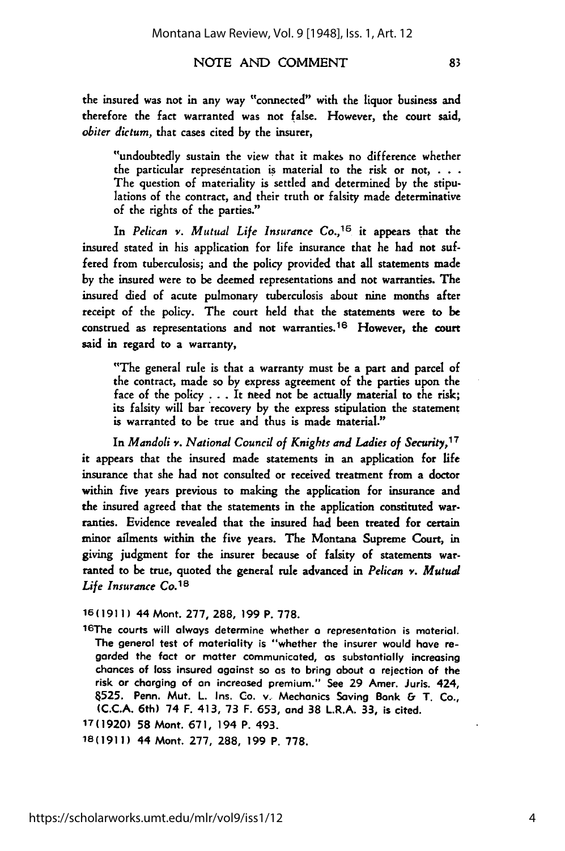"undoubtedly sustain the view that it makes no difference whether the particular representation is material to the risk or not, **. . .** The question of materiality is settled and determined by the stipulations of the contract, and their truth or falsity made determinative of the rights of the parties."

In *Pelican v. Mutual Life Insurance Co.,15* it appears that the insured stated in his application for life insurance that he had not suffered from tuberculosis; and the policy provided that all statements made by the insured were to be deemed representations and not warranties. The insured died of acute pulmonary tuberculosis about nine months after receipt of the policy. The court held that the statements were to be construed as representations and not warranties. 16 However, the court said in regard to a warranty,

"The general rule is that a warranty must be a part and parcel of the contract, made so by express agreement of the parties upon the face of the policy . . . It need not be actually material to the risk; its falsity will bar recovery by the express stipulation the statement is warranted to be true and thus is made material."

In *Mandoli v. National Council of Knights and Ladies of Security,17* it appears that the insured made statements in an application for life insurance that she had not consulted or received treatment from a doctor within five years previous to making the application for insurance and the insured agreed that the statements in the application constituted warranties. Evidence revealed that the insured had been treated for certain minor ailments within the five years. The Montana Supreme Court, in giving judgment for the insurer because of falsity of statements warranted to be true, quoted the general rule advanced in *Pelican v. Mutual Life Insurance Co.<sup>18</sup>*

**16(1911)** 44 Mont. **277,** 288, 199 P. 778.

16The courts will always determine whether **a** representation is material. The general test of materiality is "whether the insurer would have regarded the fact or matter communicated, as substantially increasing chances of loss insured against so as to bring about a rejection of the risk or charging of an increased premium." See **29** Amer. Juris. 424, 4525. Penn. Mut. L. Ins. Co. v. Mechanics Saving Bank **&** T. Co., **(C.C.A.** 6th) 74 F. 413, **73** F. **653,** and **38** L.R.A. **33,** is cited.

1T(1920) **58** Mont. **671,** 194 P. 493.

18(1911) 44 Mont. 277, 288, 199 P. 778.

83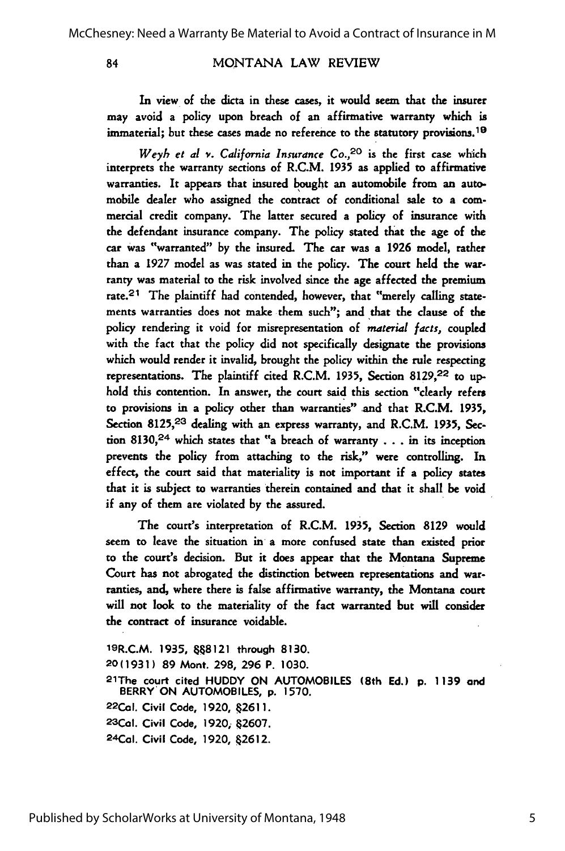84

MONTANA LAW REVIEW

In view of the dicta in these cases, it would seem that the insurer may avoid a policy upon breach of an affirmative warranty which is immaterial; but these cases made no reference to the statutory provisions.<sup>19</sup>

*Weyh et al v.* California Insurance Co.,20 is the first case which interprets the warranty sections of R.C.M. 1935 as applied to affirmative warranties. It appears that insured bought an automobile from an automobile dealer who assigned the contract of conditional sale to a commercial credit company. The latter secured a policy of insurance with the defendant insurance company. The policy stated that the age of the car was "warranted" by the insured. The car was a 1926 model, rather than a 1927 model as was stated in the policy. The court held the warranty was material to the risk involved since the age affected the premium rate.<sup>21</sup> The plaintiff had contended, however, that "merely calling statements warranties does not make them such"; and that the clause of the policy rendering it void for misrepresentation of *material facts,* coupled with the fact that the policy did not specifically designate the provisions which would render it invalid, brought the policy within the rule respecting representations. The plaintiff cited R.C.M. 1935, Section 8129,22 to **up**hold this contention. In answer, the court said this section "clearly refers to provisions in a policy other than warranties" and that R.C.M. 1935, Section 8125,<sup>23</sup> dealing with an express warranty, and R.C.M. 1935, Section 8130,<sup>24</sup> which states that "a breach of warranty  $\dots$  in its inception prevents the policy from attaching to the risk," were controlling. In effect, the court said that materiality is not important if a policy states that it is subject to warranties therein contained and that it shall be void if any of them are violated by the assured.

The court's interpretation of R.C.M. 1935, Section 8129 would seem to leave the situation in a more confused state than existed prior to the court's decision. But it does appear that the Montana Supreme Court has not abrogated the distinction between representations and warranties, and, where there is false affirmative warranty, the Montana court will not look to the materiality of the fact warranted but will consider the contract of insurance voidable.

19R.C.M. **1935, 68121** through **8130.** 20 **(1931) 89** Mont. **298, 296** P. **1030.** 21The court cited **HUDDY ON AUTOMOBILES** (8th **Ed.) p. 1139** and BERRY+ON **AUTOMOBILES, p. 1570. 22CaI.** Civil Code, **1920, .2611. 23Col.** Civil Code, **1920; \$2607.** 2 4Col. Civil Code, **1920,** 42612.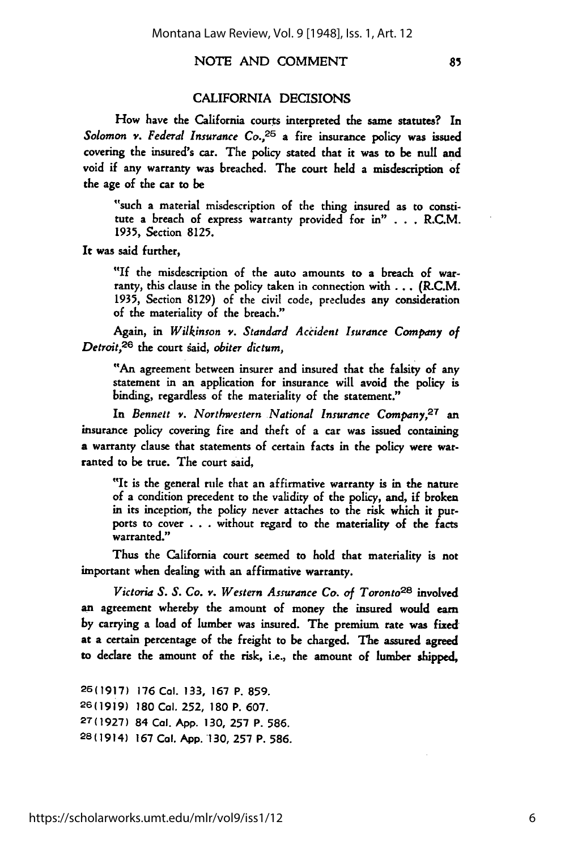#### CALIFORNIA DECISIONS

How have the California courts interpreted the same statutes? In Solomon v. Federal *Insurance Co.,25* a fire insurance policy was issued covering the insured's car. The policy stated that it was to be null and void if any warranty was breached. The court held a misdescription of the age of the car to be

"such a material misdescription of the thing insured as to constitute a breach of express warranty provided for in" **. . .** R.C.M. **1935,** Section **8125.**

It was said further,

"If the misdescription of the auto amounts to a breach of warranty, this clause in the policy taken in connection with **...** (R.C.M. **1935,** Section **8129)** of the civil code, precludes any consideration of the materiality of the breach."

Again, in *Wilkinson v. Standard Accident Isurance Company of Detroit,26* the court gaid, *obiter dictum,*

**"An** agreement between insurer and insured that the falsity of any statement in an application for insurance will avoid the policy is binding, regardless of the materiality of the statement."

In *Bennett v. Northwestern National Insurance Company,27* an insurance policy covering fire and theft of a car was issued containing a warranty clause that statements of certain facts in the policy were warranted to be true. The court said,

"It is the general rule that an affirmative warranty is in the nature of a condition precedent to the validity of the policy, and, if broken in its inception, the policy never attaches to the risk which it purports to cover .. . without regard to the materiality of the facts warranted."

Thus the California court seemed to hold that materiality is not important when dealing with an affirmative warranty.

*Victoria S. S. Co. v. Western Assurance Co. of Toronto28* involved an agreement whereby the amount of money the insured would earn by carrying a load of lumber was insured. The premium rate was fixed at a certain percentage of the freight to be charged. The assured agreed to declare the amount of the risk, i.e., the amount of lumber shipped,

**26(1917)** 176 **Cal. 133, 167** P. 859. **26(1919) 180 Cal. 252, 180** P. 607. **27(1927)** 84 **Cal. App. 130, 257** P. **586.** 28(1914) **167** Cal. **App.130, 257** P. **586.**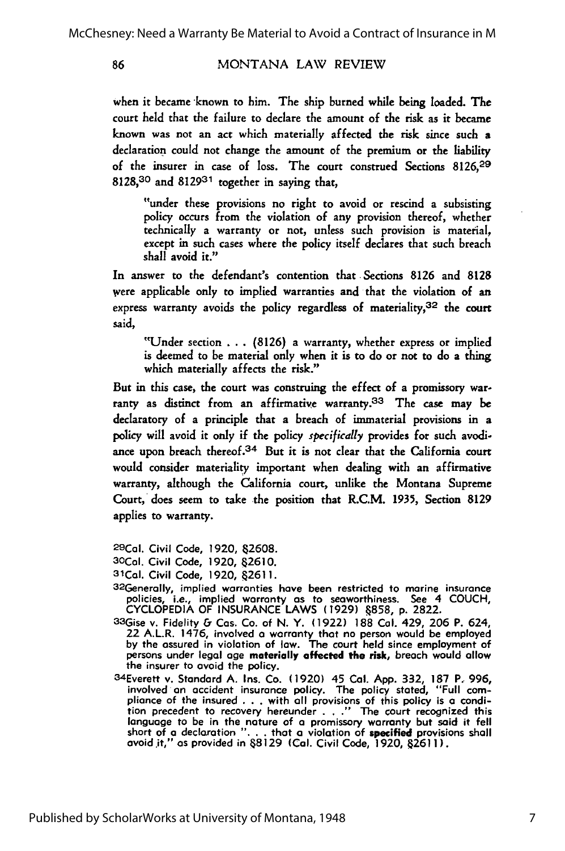#### MONTANA LAW REVIEW

86

when it became known to him. The ship burned while being loaded. The court held that the failure to declare the amount of the risk as it became known was not an act which materially affected the risk since such a declaration could not change the amount of the premium or the liability of the insurer in case of loss. The court construed Sections 8126,29 8128,30 and 812931 together in saying that,

"under these provisions no right to avoid or rescind a subsisting policy occurs from the violation of any provision thereof, whether technically a warranty or not, unless such provision is material, except in such cases where the policy itself declares that such breach shall avoid it."

In answer to the defendant's contention that Sections 8126 and 8128 were applicable only to implied warranties and that the violation of an express warranty avoids the policy regardless of materiality,  $32$  the court said,

"Under section . . **.** (8126) a warranty, whether express or implied is deemed to be material only when it is to do or not to do a thing which materially affects the risk."

But in this case, the court was construing the effect of a promissory warranty as distinct from an affirmative warranty. 33 The case may **be** declaratory of a principle that a breach of immaterial provisions in a policy will avoid it only if the policy *specifically* provides for such avodiance upon breach thereof.<sup>34</sup> But it is not clear that the California court would consider materiality important when dealing with an affirmative warranty, although the California court, unlike the Montana Supreme Court, does seem to take the position that R.C.M. 1935, Section 8129 applies to warranty.

2 9 Cal. Civil Code, **1920,** 2608. **<sup>3</sup> OCal.** Civil Code, **1920, &2610.**

- **31Cal.** Civil Code, **1920, &2611.** 3 2Generally, implied warranties have been restricted to marine insurance policies, i.e., implied warranty as to seaworthiness. See 4 **COUCH, CYCLOPEDIA** OF **INSURANCE** LAWS **(1929) &858, p. 2822.** 3 3 Gise v. Fidelity & Cos. Co. of N. Y. **(1922) 188 Cal.** 429, **206** P. 624,
- 22 A.L.R. 1476, involved **a** warranty that no person would be employed **by** the assured in violation of law. The court held since employment of persons under legal age **materially affected the risk,** breach would allow
- the insurer to avoid the policy.<br>
34Everett v. Standard A. Ins. Co. (1920) 45 Cal. App. 332, 187 P. 996,<br>
involved an accident insurance policy. The policy stated, "Full compliance of the insured **. . .** with **all** provisions of this policy is a condition precedent to recovery hereunder **. . ."** The court recognized this language to be in the nature of a promissory warranty but said it fell short of **a** declaration **". . .** that **a** violation of specified provisions shall avoid.it," as provided in **68129 (Cal.** Civil Code, **1920, 62611).**